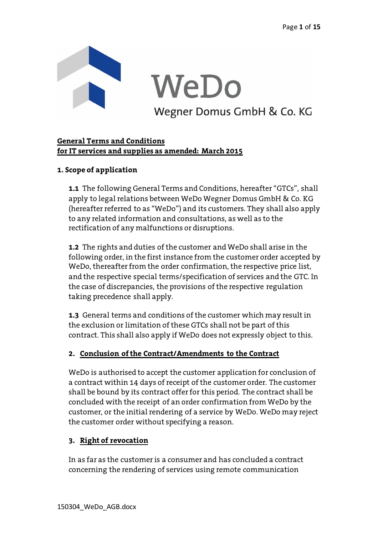

# **General Terms and Conditions for IT services and supplies as amended: March 2015**

# **1. Scope of application**

**1.1** The following General Terms and Conditions, hereafter "GTCs", shall apply to legal relations between WeDo Wegner Domus GmbH & Co. KG (hereafter referred to as "WeDo") and its customers. They shall also apply to any related information and consultations, as well as to the rectification of any malfunctions or disruptions.

**1.2** The rights and duties of the customer and WeDo shall arise in the following order, in the first instance from the customer order accepted by WeDo, thereafter from the order confirmation, the respective price list, and the respective special terms/specification of services and the GTC. In the case of discrepancies, the provisions of the respective regulation taking precedence shall apply.

**1.3** General terms and conditions of the customer which may result in the exclusion or limitation of these GTCs shall not be part of this contract. This shall also apply if WeDo does not expressly object to this.

## **2. Conclusion of the Contract/Amendments to the Contract**

WeDo is authorised to accept the customer application for conclusion of a contract within 14 days of receipt of the customer order. The customer shall be bound by its contract offer for this period. The contract shall be concluded with the receipt of an order confirmation from WeDo by the customer, or the initial rendering of a service by WeDo. WeDo may reject the customer order without specifying a reason.

## **3. Right of revocation**

In as far as the customer is a consumer and has concluded a contract concerning the rendering of services using remote communication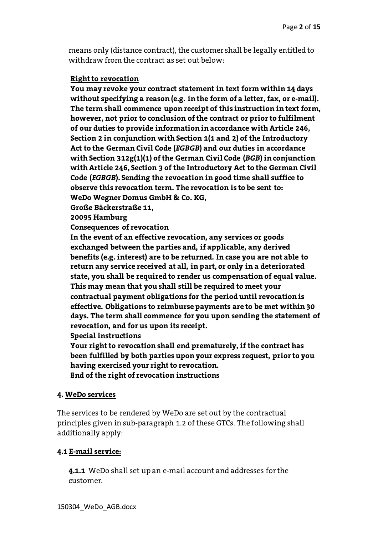means only (distance contract), the customer shall be legally entitled to withdraw from the contract as set out below:

#### **Right to revocation**

**You may revoke your contract statement in text form within 14 days without specifying a reason (e.g. in the form of a letter, fax, or e-mail). The term shall commence upon receipt of this instruction in text form, however, not prior to conclusion of the contract or prior to fulfilment of our duties to provide information in accordance with Article 246, Section 2 in conjunction with Section 1(1 and 2) of the Introductory Act to the German Civil Code (***EGBGB***) and our duties in accordance with Section 312g(1)(1) of the German Civil Code (***BGB***) in conjunction with Article 246, Section 3 of the Introductory Act to the German Civil Code (***EGBGB***). Sending the revocation in good time shall suffice to observe this revocation term. The revocation is to be sent to: WeDo Wegner Domus GmbH & Co. KG,**

**Große Bäckerstraße 11,**

**20095 Hamburg**

**Consequences of revocation**

**In the event of an effective revocation, any services or goods exchanged between the parties and, if applicable, any derived benefits (e.g. interest) are to be returned. In case you are not able to return any service received at all, in part, or only in a deteriorated state, you shall be required to render us compensation of equal value. This may mean that you shall still be required to meet your contractual payment obligations for the period until revocation is effective. Obligations to reimburse payments are to be met within 30 days. The term shall commence for you upon sending the statement of revocation, and for us upon its receipt.**

**Special instructions**

**Your right to revocation shall end prematurely, if the contract has been fulfilled by both parties upon your express request, prior to you having exercised your right to revocation. End of the right of revocation instructions** 

#### **4. WeDo services**

The services to be rendered by WeDo are set out by the contractual principles given in sub-paragraph 1.2 of these GTCs. The following shall additionally apply:

#### **4.1 E-mail service:**

**4.1.1** WeDo shall set up an e-mail account and addresses for the customer.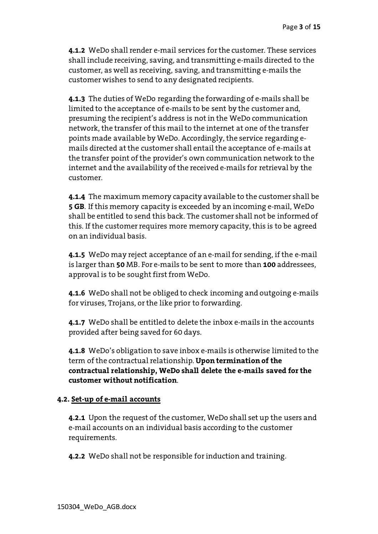**4.1.2** WeDo shall render e-mail services for the customer. These services shall include receiving, saving, and transmitting e-mails directed to the customer, as well as receiving, saving, and transmitting e-mails the customer wishes to send to any designated recipients.

**4.1.3** The duties of WeDo regarding the forwarding of e-mails shall be limited to the acceptance of e-mails to be sent by the customer and, presuming the recipient's address is not in the WeDo communication network, the transfer of this mail to the internet at one of the transfer points made available by WeDo. Accordingly, the service regarding emails directed at the customer shall entail the acceptance of e-mails at the transfer point of the provider's own communication network to the internet and the availability of the received e-mails for retrieval by the customer.

**4.1.4** The maximum memory capacity available to the customer shall be **5 GB**. If this memory capacity is exceeded by an incoming e-mail, WeDo shall be entitled to send this back. The customer shall not be informed of this. If the customer requires more memory capacity, this is to be agreed on an individual basis.

**4.1.5** WeDo may reject acceptance of an e-mail for sending, if the e-mail is larger than **50** MB. For e-mails to be sent to more than **100** addressees, approval is to be sought first from WeDo.

**4.1.6** WeDo shall not be obliged to check incoming and outgoing e-mails for viruses, Trojans, or the like prior to forwarding.

**4.1.7** WeDo shall be entitled to delete the inbox e-mails in the accounts provided after being saved for 60 days.

**4.1.8** WeDo's obligation to save inbox e-mails is otherwise limited to the term of the contractual relationship. **Upon termination of the contractual relationship, WeDo shall delete the e-mails saved for the customer without notification**.

## **4.2. Set-up of e-mail accounts**

**4.2.1** Upon the request of the customer, WeDo shall set up the users and e-mail accounts on an individual basis according to the customer requirements.

**4.2.2** WeDo shall not be responsible for induction and training.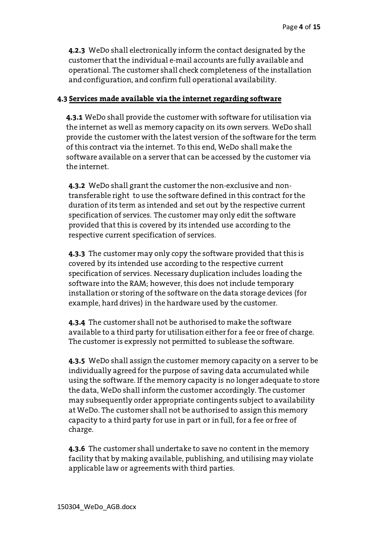**4.2.3** WeDo shall electronically inform the contact designated by the customer that the individual e-mail accounts are fully available and operational. The customer shall check completeness of the installation and configuration, and confirm full operational availability.

#### **4.3 Services made available via the internet regarding software**

**4.3.1** WeDo shall provide the customer with software for utilisation via the internet as well as memory capacity on its own servers. WeDo shall provide the customer with the latest version of the software for the term of this contract via the internet. To this end, WeDo shall make the software available on a server that can be accessed by the customer via the internet.

**4.3.2** WeDo shall grant the customer the non-exclusive and nontransferable right to use the software defined in this contract for the duration of its term as intended and set out by the respective current specification of services. The customer may only edit the software provided that this is covered by its intended use according to the respective current specification of services.

**4.3.3** The customer may only copy the software provided that this is covered by its intended use according to the respective current specification of services. Necessary duplication includes loading the software into the RAM; however, this does not include temporary installation or storing of the software on the data storage devices (for example, hard drives) in the hardware used by the customer.

**4.3.4** The customer shall not be authorised to make the software available to a third party for utilisation either for a fee or free of charge. The customer is expressly not permitted to sublease the software.

**4.3.5** WeDo shall assign the customer memory capacity on a server to be individually agreed for the purpose of saving data accumulated while using the software. If the memory capacity is no longer adequate to store the data, WeDo shall inform the customer accordingly. The customer may subsequently order appropriate contingents subject to availability at WeDo. The customer shall not be authorised to assign this memory capacity to a third party for use in part or in full, for a fee or free of charge.

**4.3.6** The customer shall undertake to save no content in the memory facility that by making available, publishing, and utilising may violate applicable law or agreements with third parties.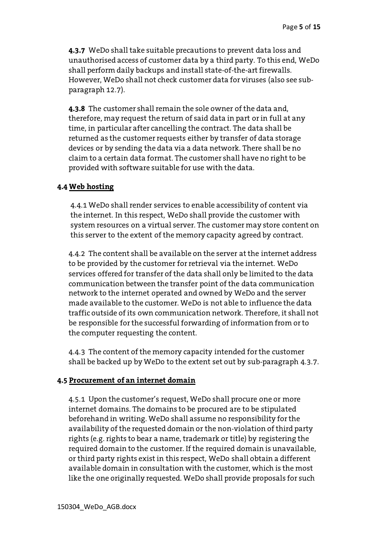**4.3.7** WeDo shall take suitable precautions to prevent data loss and unauthorised access of customer data by a third party. To this end, WeDo shall perform daily backups and install state-of-the-art firewalls. However, WeDo shall not check customer data for viruses (also see subparagraph 12.7).

**4.3.8** The customer shall remain the sole owner of the data and, therefore, may request the return of said data in part or in full at any time, in particular after cancelling the contract. The data shall be returned as the customer requests either by transfer of data storage devices or by sending the data via a data network. There shall be no claim to a certain data format. The customer shall have no right to be provided with software suitable for use with the data.

#### **4.4 Web hosting**

4.4.1 WeDo shall render services to enable accessibility of content via the internet. In this respect, WeDo shall provide the customer with system resources on a virtual server. The customer may store content on this server to the extent of the memory capacity agreed by contract.

4.4.2 The content shall be available on the server at the internet address to be provided by the customer for retrieval via the internet. WeDo services offered for transfer of the data shall only be limited to the data communication between the transfer point of the data communication network to the internet operated and owned by WeDo and the server made available to the customer. WeDo is not able to influence the data traffic outside of its own communication network. Therefore, it shall not be responsible for the successful forwarding of information from or to the computer requesting the content.

4.4.3 The content of the memory capacity intended for the customer shall be backed up by WeDo to the extent set out by sub-paragraph 4.3.7.

## **4.5 Procurement of an internet domain**

4.5.1 Upon the customer's request, WeDo shall procure one or more internet domains. The domains to be procured are to be stipulated beforehand in writing. WeDo shall assume no responsibility for the availability of the requested domain or the non-violation of third party rights (e.g. rights to bear a name, trademark or title) by registering the required domain to the customer. If the required domain is unavailable, or third party rights exist in this respect, WeDo shall obtain a different available domain in consultation with the customer, which is the most like the one originally requested. WeDo shall provide proposals for such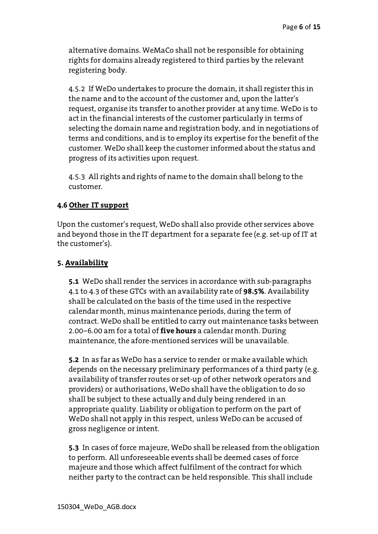alternative domains. WeMaCo shall not be responsible for obtaining rights for domains already registered to third parties by the relevant registering body.

4.5.2 If WeDo undertakes to procure the domain, it shall register this in the name and to the account of the customer and, upon the latter's request, organise its transfer to another provider at any time. WeDo is to act in the financial interests of the customer particularly in terms of selecting the domain name and registration body, and in negotiations of terms and conditions, and is to employ its expertise for the benefit of the customer. WeDo shall keep the customer informed about the status and progress of its activities upon request.

4.5.3 All rights and rights of name to the domain shall belong to the customer.

# **4.6 Other IT support**

Upon the customer's request, WeDo shall also provide other services above and beyond those in the IT department for a separate fee (e.g. set-up of IT at the customer's).

#### **5. Availability**

**5.1** WeDo shall render the services in accordance with sub-paragraphs 4.1 to 4.3 of these GTCs with an availability rate of **98.5%**. Availability shall be calculated on the basis of the time used in the respective calendar month, minus maintenance periods, during the term of contract. WeDo shall be entitled to carry out maintenance tasks between 2.00–6.00 am for a total of **five hours** a calendar month. During maintenance, the afore-mentioned services will be unavailable.

**5.2** In as far as WeDo has a service to render or make available which depends on the necessary preliminary performances of a third party (e.g. availability of transfer routes or set-up of other network operators and providers) or authorisations, WeDo shall have the obligation to do so shall be subject to these actually and duly being rendered in an appropriate quality. Liability or obligation to perform on the part of WeDo shall not apply in this respect, unless WeDo can be accused of gross negligence or intent.

**5.3** In cases of force majeure, WeDo shall be released from the obligation to perform. All unforeseeable events shall be deemed cases of force majeure and those which affect fulfilment of the contract for which neither party to the contract can be held responsible. This shall include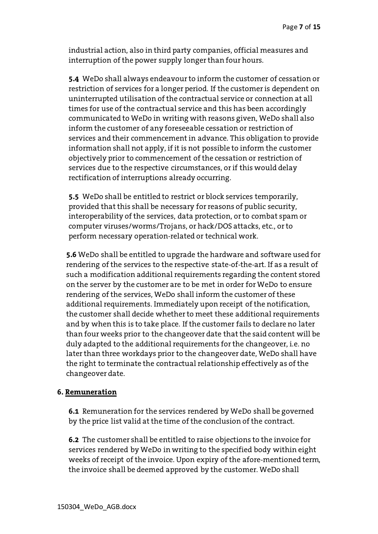industrial action, also in third party companies, official measures and interruption of the power supply longer than four hours.

**5.4** WeDo shall always endeavour to inform the customer of cessation or restriction of services for a longer period. If the customer is dependent on uninterrupted utilisation of the contractual service or connection at all times for use of the contractual service and this has been accordingly communicated to WeDo in writing with reasons given, WeDo shall also inform the customer of any foreseeable cessation or restriction of services and their commencement in advance. This obligation to provide information shall not apply, if it is not possible to inform the customer objectively prior to commencement of the cessation or restriction of services due to the respective circumstances, or if this would delay rectification of interruptions already occurring.

**5.5** WeDo shall be entitled to restrict or block services temporarily, provided that this shall be necessary for reasons of public security, interoperability of the services, data protection, or to combat spam or computer viruses/worms/Trojans, or hack/DOS attacks, etc., or to perform necessary operation-related or technical work.

**5.6** WeDo shall be entitled to upgrade the hardware and software used for rendering of the services to the respective state-of-the-art. If as a result of such a modification additional requirements regarding the content stored on the server by the customer are to be met in order for WeDo to ensure rendering of the services, WeDo shall inform the customer of these additional requirements. Immediately upon receipt of the notification, the customer shall decide whether to meet these additional requirements and by when this is to take place. If the customer fails to declare no later than four weeks prior to the changeover date that the said content will be duly adapted to the additional requirements for the changeover, i.e. no later than three workdays prior to the changeover date, WeDo shall have the right to terminate the contractual relationship effectively as of the changeover date.

#### **6. Remuneration**

**6.1** Remuneration for the services rendered by WeDo shall be governed by the price list valid at the time of the conclusion of the contract.

**6.2** The customer shall be entitled to raise objections to the invoice for services rendered by WeDo in writing to the specified body within eight weeks of receipt of the invoice. Upon expiry of the afore-mentioned term, the invoice shall be deemed approved by the customer. WeDo shall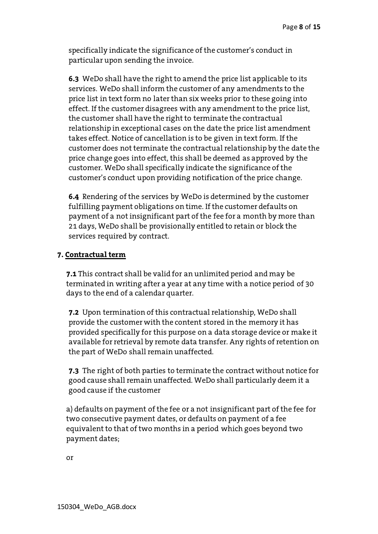specifically indicate the significance of the customer's conduct in particular upon sending the invoice.

**6.3** WeDo shall have the right to amend the price list applicable to its services. WeDo shall inform the customer of any amendments to the price list in text form no later than six weeks prior to these going into effect. If the customer disagrees with any amendment to the price list, the customer shall have the right to terminate the contractual relationship in exceptional cases on the date the price list amendment takes effect. Notice of cancellation is to be given in text form. If the customer does not terminate the contractual relationship by the date the price change goes into effect, this shall be deemed as approved by the customer. WeDo shall specifically indicate the significance of the customer's conduct upon providing notification of the price change.

**6.4** Rendering of the services by WeDo is determined by the customer fulfilling payment obligations on time. If the customer defaults on payment of a not insignificant part of the fee for a month by more than 21 days, WeDo shall be provisionally entitled to retain or block the services required by contract.

## **7. Contractual term**

**7.1** This contract shall be valid for an unlimited period and may be terminated in writing after a year at any time with a notice period of 30 days to the end of a calendar quarter.

**7.2** Upon termination of this contractual relationship, WeDo shall provide the customer with the content stored in the memory it has provided specifically for this purpose on a data storage device or make it available for retrieval by remote data transfer. Any rights of retention on the part of WeDo shall remain unaffected.

**7.3** The right of both parties to terminate the contract without notice for good cause shall remain unaffected. WeDo shall particularly deem it a good cause if the customer

a) defaults on payment of the fee or a not insignificant part of the fee for two consecutive payment dates, or defaults on payment of a fee equivalent to that of two months in a period which goes beyond two payment dates;

or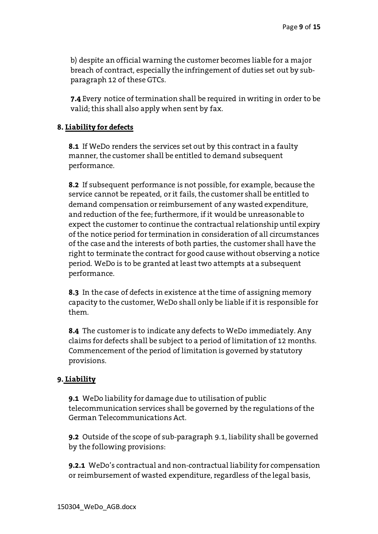b) despite an official warning the customer becomes liable for a major breach of contract, especially the infringement of duties set out by subparagraph 12 of these GTCs.

**7.4** Every notice of termination shall be required in writing in order to be valid; this shall also apply when sent by fax.

## **8. Liability for defects**

**8.1** If WeDo renders the services set out by this contract in a faulty manner, the customer shall be entitled to demand subsequent performance.

**8.2** If subsequent performance is not possible, for example, because the service cannot be repeated, or it fails, the customer shall be entitled to demand compensation or reimbursement of any wasted expenditure, and reduction of the fee; furthermore, if it would be unreasonable to expect the customer to continue the contractual relationship until expiry of the notice period for termination in consideration of all circumstances of the case and the interests of both parties, the customer shall have the right to terminate the contract for good cause without observing a notice period. WeDo is to be granted at least two attempts at a subsequent performance.

**8.3** In the case of defects in existence at the time of assigning memory capacity to the customer, WeDo shall only be liable if it is responsible for them.

**8.4** The customer is to indicate any defects to WeDo immediately. Any claims for defects shall be subject to a period of limitation of 12 months. Commencement of the period of limitation is governed by statutory provisions.

## **9. Liability**

**9.1** WeDo liability for damage due to utilisation of public telecommunication services shall be governed by the regulations of the German Telecommunications Act.

**9.2** Outside of the scope of sub-paragraph 9.1, liability shall be governed by the following provisions:

**9.2.1** WeDo's contractual and non-contractual liability for compensation or reimbursement of wasted expenditure, regardless of the legal basis,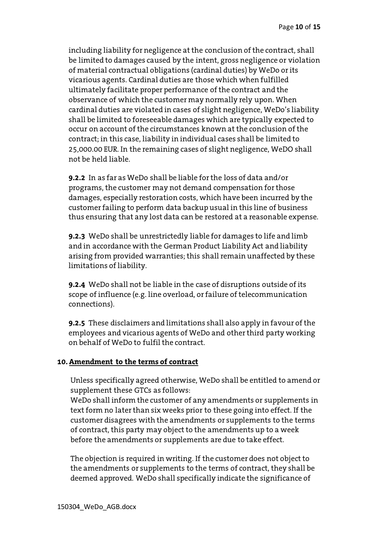including liability for negligence at the conclusion of the contract, shall be limited to damages caused by the intent, gross negligence or violation of material contractual obligations (cardinal duties) by WeDo or its vicarious agents. Cardinal duties are those which when fulfilled ultimately facilitate proper performance of the contract and the observance of which the customer may normally rely upon. When cardinal duties are violated in cases of slight negligence, WeDo's liability shall be limited to foreseeable damages which are typically expected to occur on account of the circumstances known at the conclusion of the contract; in this case, liability in individual cases shall be limited to 25,000.00 EUR. In the remaining cases of slight negligence, WeDO shall not be held liable.

**9.2.2** In as far as WeDo shall be liable for the loss of data and/or programs, the customer may not demand compensation for those damages, especially restoration costs, which have been incurred by the customer failing to perform data backup usual in this line of business thus ensuring that any lost data can be restored at a reasonable expense.

**9.2.3** WeDo shall be unrestrictedly liable for damages to life and limb and in accordance with the German Product Liability Act and liability arising from provided warranties; this shall remain unaffected by these limitations of liability.

**9.2.4** WeDo shall not be liable in the case of disruptions outside of its scope of influence (e.g. line overload, or failure of telecommunication connections).

**9.2.5** These disclaimers and limitations shall also apply in favour of the employees and vicarious agents of WeDo and other third party working on behalf of WeDo to fulfil the contract.

## **10. Amendment to the terms of contract**

Unless specifically agreed otherwise, WeDo shall be entitled to amend or supplement these GTCs as follows:

WeDo shall inform the customer of any amendments or supplements in text form no later than six weeks prior to these going into effect. If the customer disagrees with the amendments or supplements to the terms of contract, this party may object to the amendments up to a week before the amendments or supplements are due to take effect.

The objection is required in writing. If the customer does not object to the amendments or supplements to the terms of contract, they shall be deemed approved. WeDo shall specifically indicate the significance of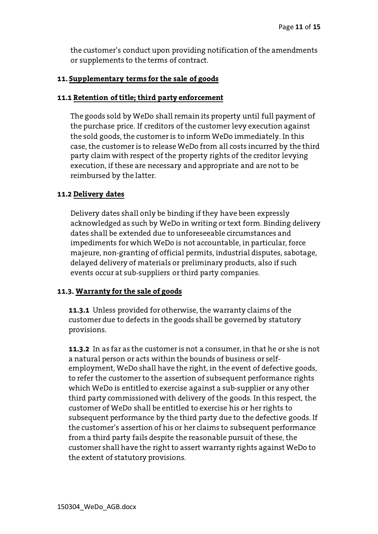the customer's conduct upon providing notification of the amendments or supplements to the terms of contract.

#### **11. Supplementary terms for the sale of goods**

#### **11.1 Retention of title; third party enforcement**

The goods sold by WeDo shall remain its property until full payment of the purchase price. If creditors of the customer levy execution against the sold goods, the customer is to inform WeDo immediately. In this case, the customer is to release WeDo from all costs incurred by the third party claim with respect of the property rights of the creditor levying execution, if these are necessary and appropriate and are not to be reimbursed by the latter.

## **11.2 Delivery dates**

Delivery dates shall only be binding if they have been expressly acknowledged as such by WeDo in writing or text form. Binding delivery dates shall be extended due to unforeseeable circumstances and impediments for which WeDo is not accountable, in particular, force majeure, non-granting of official permits, industrial disputes, sabotage, delayed delivery of materials or preliminary products, also if such events occur at sub-suppliers or third party companies.

## **11.3. Warranty for the sale of goods**

**11.3.1** Unless provided for otherwise, the warranty claims of the customer due to defects in the goods shall be governed by statutory provisions.

**11.3.2** In as far as the customer is not a consumer, in that he or she is not a natural person or acts within the bounds of business or selfemployment, WeDo shall have the right, in the event of defective goods, to refer the customer to the assertion of subsequent performance rights which WeDo is entitled to exercise against a sub-supplier or any other third party commissioned with delivery of the goods. In this respect, the customer of WeDo shall be entitled to exercise his or her rights to subsequent performance by the third party due to the defective goods. If the customer's assertion of his or her claims to subsequent performance from a third party fails despite the reasonable pursuit of these, the customer shall have the right to assert warranty rights against WeDo to the extent of statutory provisions.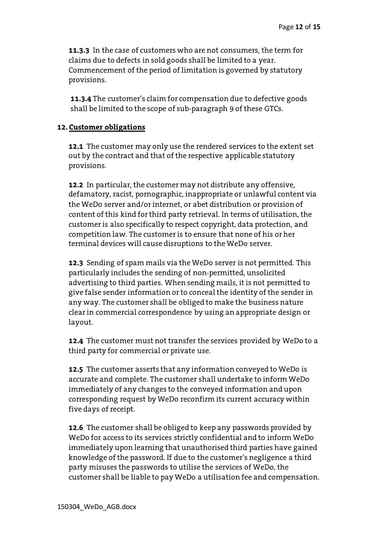**11.3.3** In the case of customers who are not consumers, the term for claims due to defects in sold goods shall be limited to a year. Commencement of the period of limitation is governed by statutory provisions.

**11.3.4** The customer's claim for compensation due to defective goods shall be limited to the scope of sub-paragraph 9 of these GTCs.

#### **12. Customer obligations**

**12.1** The customer may only use the rendered services to the extent set out by the contract and that of the respective applicable statutory provisions.

**12.2** In particular, the customer may not distribute any offensive, defamatory, racist, pornographic, inappropriate or unlawful content via the WeDo server and/or internet, or abet distribution or provision of content of this kind for third party retrieval. In terms of utilisation, the customer is also specifically to respect copyright, data protection, and competition law. The customer is to ensure that none of his or her terminal devices will cause disruptions to the WeDo server.

**12.3** Sending of spam mails via the WeDo server is not permitted. This particularly includes the sending of non-permitted, unsolicited advertising to third parties. When sending mails, it is not permitted to give false sender information or to conceal the identity of the sender in any way. The customer shall be obliged to make the business nature clear in commercial correspondence by using an appropriate design or layout.

**12.4** The customer must not transfer the services provided by WeDo to a third party for commercial or private use.

**12.5** The customer asserts that any information conveyed to WeDo is accurate and complete. The customer shall undertake to inform WeDo immediately of any changes to the conveyed information and upon corresponding request by WeDo reconfirm its current accuracy within five days of receipt.

**12.6** The customer shall be obliged to keep any passwords provided by WeDo for access to its services strictly confidential and to inform WeDo immediately upon learning that unauthorised third parties have gained knowledge of the password. If due to the customer's negligence a third party misuses the passwords to utilise the services of WeDo, the customer shall be liable to pay WeDo a utilisation fee and compensation.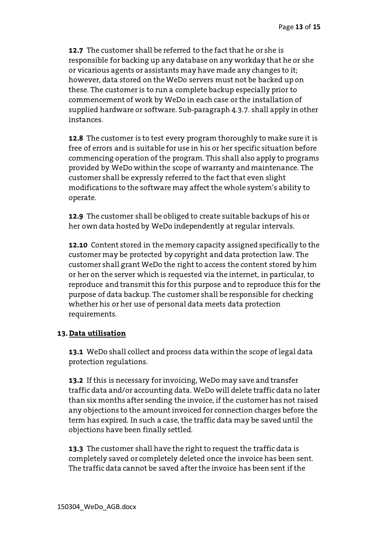**12.7** The customer shall be referred to the fact that he or she is responsible for backing up any database on any workday that he or she or vicarious agents or assistants may have made any changes to it; however, data stored on the WeDo servers must not be backed up on these. The customer is to run a complete backup especially prior to commencement of work by WeDo in each case or the installation of supplied hardware or software. Sub-paragraph 4.3.7. shall apply in other instances.

**12.8** The customer is to test every program thoroughly to make sure it is free of errors and is suitable for use in his or her specific situation before commencing operation of the program. This shall also apply to programs provided by WeDo within the scope of warranty and maintenance. The customer shall be expressly referred to the fact that even slight modifications to the software may affect the whole system's ability to operate.

**12.9** The customer shall be obliged to create suitable backups of his or her own data hosted by WeDo independently at regular intervals.

**12.10** Content stored in the memory capacity assigned specifically to the customer may be protected by copyright and data protection law. The customer shall grant WeDo the right to access the content stored by him or her on the server which is requested via the internet, in particular, to reproduce and transmit this for this purpose and to reproduce this for the purpose of data backup. The customer shall be responsible for checking whether his or her use of personal data meets data protection requirements.

## **13. Data utilisation**

**13.1** WeDo shall collect and process data within the scope of legal data protection regulations.

**13.2** If this is necessary for invoicing, WeDo may save and transfer traffic data and/or accounting data. WeDo will delete traffic data no later than six months after sending the invoice, if the customer has not raised any objections to the amount invoiced for connection charges before the term has expired. In such a case, the traffic data may be saved until the objections have been finally settled.

**13.3** The customer shall have the right to request the traffic data is completely saved or completely deleted once the invoice has been sent. The traffic data cannot be saved after the invoice has been sent if the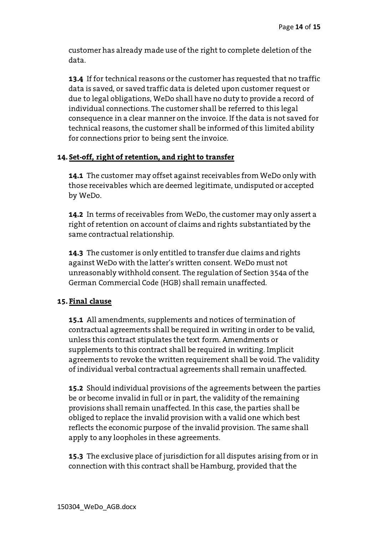customer has already made use of the right to complete deletion of the data.

**13.4** If for technical reasons or the customer has requested that no traffic data is saved, or saved traffic data is deleted upon customer request or due to legal obligations, WeDo shall have no duty to provide a record of individual connections. The customer shall be referred to this legal consequence in a clear manner on the invoice. If the data is not saved for technical reasons, the customer shall be informed of this limited ability for connections prior to being sent the invoice.

# **14. Set-off, right of retention, and right to transfer**

**14.1** The customer may offset against receivables from WeDo only with those receivables which are deemed legitimate, undisputed or accepted by WeDo.

**14.2** In terms of receivables from WeDo, the customer may only assert a right of retention on account of claims and rights substantiated by the same contractual relationship.

**14.3** The customer is only entitled to transfer due claims and rights against WeDo with the latter's written consent. WeDo must not unreasonably withhold consent. The regulation of Section 354a of the German Commercial Code (HGB) shall remain unaffected.

## **15. Final clause**

**15.1** All amendments, supplements and notices of termination of contractual agreements shall be required in writing in order to be valid, unless this contract stipulates the text form. Amendments or supplements to this contract shall be required in writing. Implicit agreements to revoke the written requirement shall be void. The validity of individual verbal contractual agreements shall remain unaffected.

**15.2** Should individual provisions of the agreements between the parties be or become invalid in full or in part, the validity of the remaining provisions shall remain unaffected. In this case, the parties shall be obliged to replace the invalid provision with a valid one which best reflects the economic purpose of the invalid provision. The same shall apply to any loopholes in these agreements.

**15.3** The exclusive place of jurisdiction for all disputes arising from or in connection with this contract shall be Hamburg, provided that the